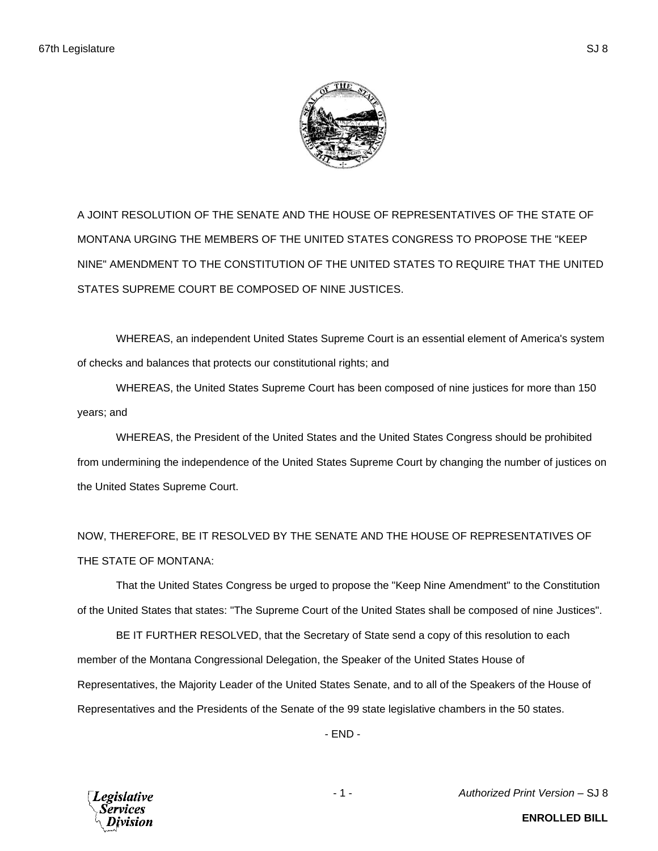

A JOINT RESOLUTION OF THE SENATE AND THE HOUSE OF REPRESENTATIVES OF THE STATE OF MONTANA URGING THE MEMBERS OF THE UNITED STATES CONGRESS TO PROPOSE THE "KEEP NINE" AMENDMENT TO THE CONSTITUTION OF THE UNITED STATES TO REQUIRE THAT THE UNITED STATES SUPREME COURT BE COMPOSED OF NINE JUSTICES.

WHEREAS, an independent United States Supreme Court is an essential element of America's system of checks and balances that protects our constitutional rights; and

WHEREAS, the United States Supreme Court has been composed of nine justices for more than 150 years; and

WHEREAS, the President of the United States and the United States Congress should be prohibited from undermining the independence of the United States Supreme Court by changing the number of justices on the United States Supreme Court.

NOW, THEREFORE, BE IT RESOLVED BY THE SENATE AND THE HOUSE OF REPRESENTATIVES OF THE STATE OF MONTANA:

That the United States Congress be urged to propose the "Keep Nine Amendment" to the Constitution of the United States that states: "The Supreme Court of the United States shall be composed of nine Justices".

BE IT FURTHER RESOLVED, that the Secretary of State send a copy of this resolution to each member of the Montana Congressional Delegation, the Speaker of the United States House of Representatives, the Majority Leader of the United States Senate, and to all of the Speakers of the House of Representatives and the Presidents of the Senate of the 99 state legislative chambers in the 50 states.

- END -



- 1 - *Authorized Print Version* – SJ 8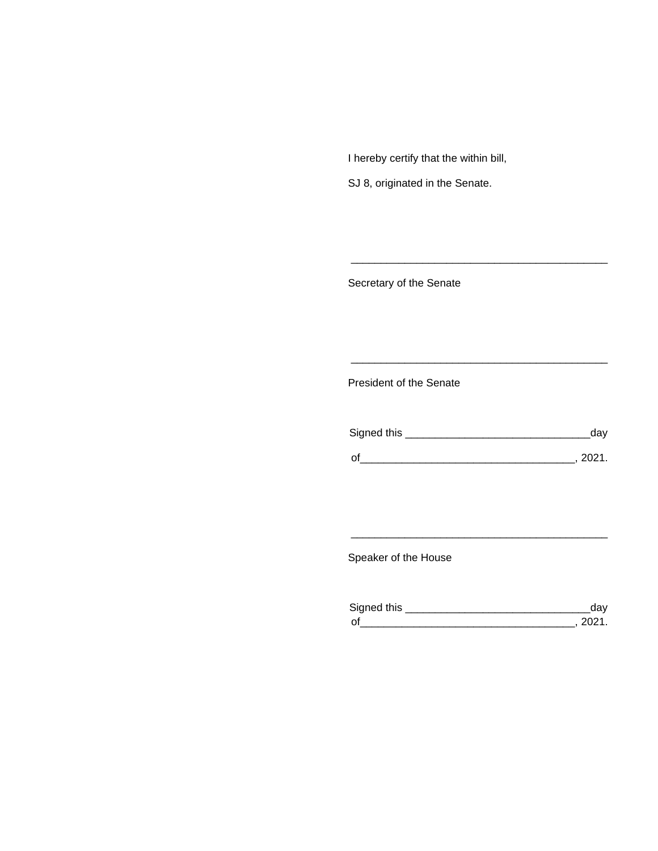I hereby certify that the within bill,

SJ 8, originated in the Senate.

Secretary of the Senate

President of the Senate

| Signed this | dav  |
|-------------|------|
|             |      |
| O,          | 2021 |

\_\_\_\_\_\_\_\_\_\_\_\_\_\_\_\_\_\_\_\_\_\_\_\_\_\_\_\_\_\_\_\_\_\_\_\_\_\_\_\_\_\_\_

\_\_\_\_\_\_\_\_\_\_\_\_\_\_\_\_\_\_\_\_\_\_\_\_\_\_\_\_\_\_\_\_\_\_\_\_\_\_\_\_\_\_\_

Speaker of the House

| Signed this        |  |
|--------------------|--|
| $\mathsf{\Omega}'$ |  |

\_\_\_\_\_\_\_\_\_\_\_\_\_\_\_\_\_\_\_\_\_\_\_\_\_\_\_\_\_\_\_\_\_\_\_\_\_\_\_\_\_\_\_